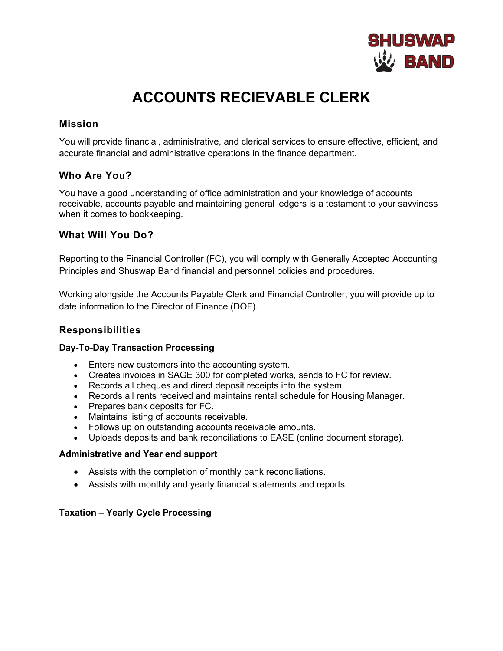

# **ACCOUNTS RECIEVABLE CLERK**

## **Mission**

You will provide financial, administrative, and clerical services to ensure effective, efficient, and accurate financial and administrative operations in the finance department.

## **Who Are You?**

You have a good understanding of office administration and your knowledge of accounts receivable, accounts payable and maintaining general ledgers is a testament to your savviness when it comes to bookkeeping.

## **What Will You Do?**

Reporting to the Financial Controller (FC), you will comply with Generally Accepted Accounting Principles and Shuswap Band financial and personnel policies and procedures.

Working alongside the Accounts Payable Clerk and Financial Controller, you will provide up to date information to the Director of Finance (DOF).

## **Responsibilities**

#### **Day-To-Day Transaction Processing**

- Enters new customers into the accounting system.
- Creates invoices in SAGE 300 for completed works, sends to FC for review.
- Records all cheques and direct deposit receipts into the system.
- Records all rents received and maintains rental schedule for Housing Manager.
- Prepares bank deposits for FC.
- Maintains listing of accounts receivable.
- Follows up on outstanding accounts receivable amounts.
- Uploads deposits and bank reconciliations to EASE (online document storage).

#### **Administrative and Year end support**

- Assists with the completion of monthly bank reconciliations.
- Assists with monthly and yearly financial statements and reports.

#### **Taxation – Yearly Cycle Processing**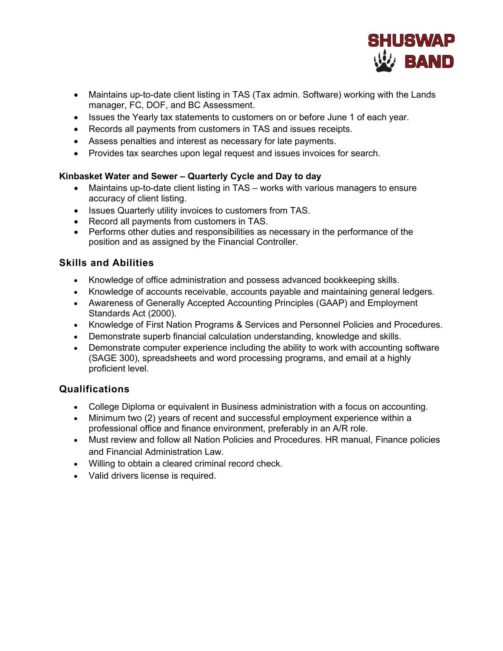

- Maintains up-to-date client listing in TAS (Tax admin. Software) working with the Lands manager, FC, DOF, and BC Assessment.
- Issues the Yearly tax statements to customers on or before June 1 of each year.
- Records all payments from customers in TAS and issues receipts.
- Assess penalties and interest as necessary for late payments.
- Provides tax searches upon legal request and issues invoices for search.

#### **Kinbasket Water and Sewer – Quarterly Cycle and Day to day**

- Maintains up-to-date client listing in TAS works with various managers to ensure accuracy of client listing.
- Issues Quarterly utility invoices to customers from TAS.
- Record all payments from customers in TAS.
- Performs other duties and responsibilities as necessary in the performance of the position and as assigned by the Financial Controller.

## **Skills and Abilities**

- Knowledge of office administration and possess advanced bookkeeping skills.
- Knowledge of accounts receivable, accounts payable and maintaining general ledgers.
- Awareness of Generally Accepted Accounting Principles (GAAP) and Employment Standards Act (2000).
- Knowledge of First Nation Programs & Services and Personnel Policies and Procedures.
- Demonstrate superb financial calculation understanding, knowledge and skills.
- Demonstrate computer experience including the ability to work with accounting software (SAGE 300), spreadsheets and word processing programs, and email at a highly proficient level.

## **Qualifications**

- College Diploma or equivalent in Business administration with a focus on accounting.
- Minimum two (2) years of recent and successful employment experience within a professional office and finance environment, preferably in an A/R role.
- Must review and follow all Nation Policies and Procedures. HR manual, Finance policies and Financial Administration Law.
- Willing to obtain a cleared criminal record check.
- Valid drivers license is required.